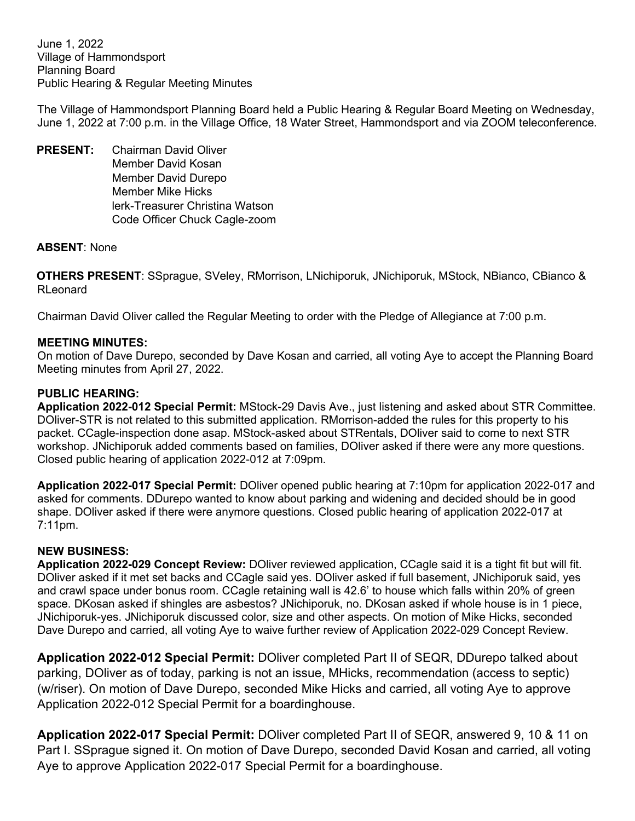June 1, 2022 Village of Hammondsport Planning Board Public Hearing & Regular Meeting Minutes

The Village of Hammondsport Planning Board held a Public Hearing & Regular Board Meeting on Wednesday, June 1, 2022 at 7:00 p.m. in the Village Office, 18 Water Street, Hammondsport and via ZOOM teleconference.

**PRESENT:** Chairman David Oliver Member David Kosan Member David Durepo Member Mike Hicks lerk-Treasurer Christina Watson Code Officer Chuck Cagle-zoom

## **ABSENT**: None

**OTHERS PRESENT**: SSprague, SVeley, RMorrison, LNichiporuk, JNichiporuk, MStock, NBianco, CBianco & RLeonard

Chairman David Oliver called the Regular Meeting to order with the Pledge of Allegiance at 7:00 p.m.

## **MEETING MINUTES:**

On motion of Dave Durepo, seconded by Dave Kosan and carried, all voting Aye to accept the Planning Board Meeting minutes from April 27, 2022.

## **PUBLIC HEARING:**

**Application 2022-012 Special Permit:** MStock-29 Davis Ave., just listening and asked about STR Committee. DOliver-STR is not related to this submitted application. RMorrison-added the rules for this property to his packet. CCagle-inspection done asap. MStock-asked about STRentals, DOliver said to come to next STR workshop. JNichiporuk added comments based on families, DOliver asked if there were any more questions. Closed public hearing of application 2022-012 at 7:09pm.

**Application 2022-017 Special Permit:** DOliver opened public hearing at 7:10pm for application 2022-017 and asked for comments. DDurepo wanted to know about parking and widening and decided should be in good shape. DOliver asked if there were anymore questions. Closed public hearing of application 2022-017 at 7:11pm.

#### **NEW BUSINESS:**

**Application 2022-029 Concept Review:** DOliver reviewed application, CCagle said it is a tight fit but will fit. DOliver asked if it met set backs and CCagle said yes. DOliver asked if full basement, JNichiporuk said, yes and crawl space under bonus room. CCagle retaining wall is 42.6' to house which falls within 20% of green space. DKosan asked if shingles are asbestos? JNichiporuk, no. DKosan asked if whole house is in 1 piece, JNichiporuk-yes. JNichiporuk discussed color, size and other aspects. On motion of Mike Hicks, seconded Dave Durepo and carried, all voting Aye to waive further review of Application 2022-029 Concept Review.

**Application 2022-012 Special Permit:** DOliver completed Part II of SEQR, DDurepo talked about parking, DOliver as of today, parking is not an issue, MHicks, recommendation (access to septic) (w/riser). On motion of Dave Durepo, seconded Mike Hicks and carried, all voting Aye to approve Application 2022-012 Special Permit for a boardinghouse.

**Application 2022-017 Special Permit:** DOliver completed Part II of SEQR, answered 9, 10 & 11 on Part I. SSprague signed it. On motion of Dave Durepo, seconded David Kosan and carried, all voting Aye to approve Application 2022-017 Special Permit for a boardinghouse.